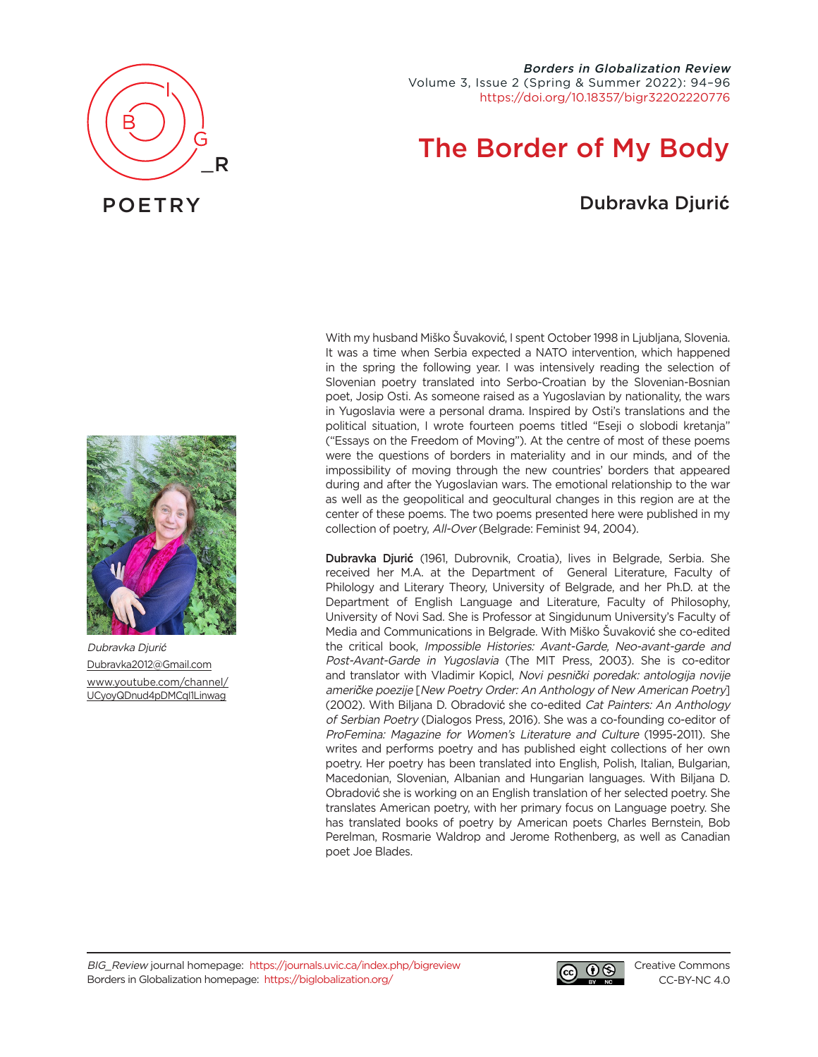

# The Border of My Body

## Dubravka Djuri**ć**



POETRY



Dubravka Djurić [Dubravka2012@Gmail.com](mailto:dubravka2012%40gmail.com?subject=) [www.youtube.com/channel/](https://www.youtube.com/channel/UCyoyQDnud4pDMCqI1Linwag) [UCyoyQDnud4pDMCqI1Linwag](https://www.youtube.com/channel/UCyoyQDnud4pDMCqI1Linwag)

With my husband Miško Šuvaković, I spent October 1998 in Ljubljana, Slovenia. It was a time when Serbia expected a NATO intervention, which happened in the spring the following year. I was intensively reading the selection of Slovenian poetry translated into Serbo-Croatian by the Slovenian-Bosnian poet, Josip Osti. As someone raised as a Yugoslavian by nationality, the wars in Yugoslavia were a personal drama. Inspired by Osti's translations and the political situation, I wrote fourteen poems titled "Eseji o slobodi kretanja" ("Essays on the Freedom of Moving"). At the centre of most of these poems were the questions of borders in materiality and in our minds, and of the impossibility of moving through the new countries' borders that appeared during and after the Yugoslavian wars. The emotional relationship to the war as well as the geopolitical and geocultural changes in this region are at the center of these poems. The two poems presented here were published in my collection of poetry, All-Over (Belgrade: Feminist 94, 2004).

Dubravka Djuri**ć** (1961, Dubrovnik, Croatia), lives in Belgrade, Serbia. She received her M.A. at the Department of General Literature, Faculty of Philology and Literary Theory, University of Belgrade, and her Ph.D. at the Department of English Language and Literature, Faculty of Philosophy, University of Novi Sad. She is Professor at Singidunum University's Faculty of Media and Communications in Belgrade. With Miško Šuvaković she co-edited the critical book, Impossible Histories: Avant-Garde, Neo-avant-garde and Post-Avant-Garde in Yugoslavia (The MIT Press, 2003). She is co-editor and translator with Vladimir Kopicl, Novi pesnički poredak: antologija novije američke poezije [New Poetry Order: An Anthology of New American Poetry] (2002). With Biljana D. Obradović she co-edited Cat Painters: An Anthology of Serbian Poetry (Dialogos Press, 2016). She was a co-founding co-editor of ProFemina: Magazine for Women's Literature and Culture (1995-2011). She writes and performs poetry and has published eight collections of her own poetry. Her poetry has been translated into English, Polish, Italian, Bulgarian, Macedonian, Slovenian, Albanian and Hungarian languages. With Biljana D. Obradović she is working on an English translation of her selected poetry. She translates American poetry, with her primary focus on Language poetry. She has translated books of poetry by American poets Charles Bernstein, Bob Perelman, Rosmarie Waldrop and Jerome Rothenberg, as well as Canadian poet Joe Blades.



[Creative Commons](https://creativecommons.org/licenses/by-nc/4.0/) [CC-BY-NC 4.0](https://creativecommons.org/licenses/by-nc/4.0/)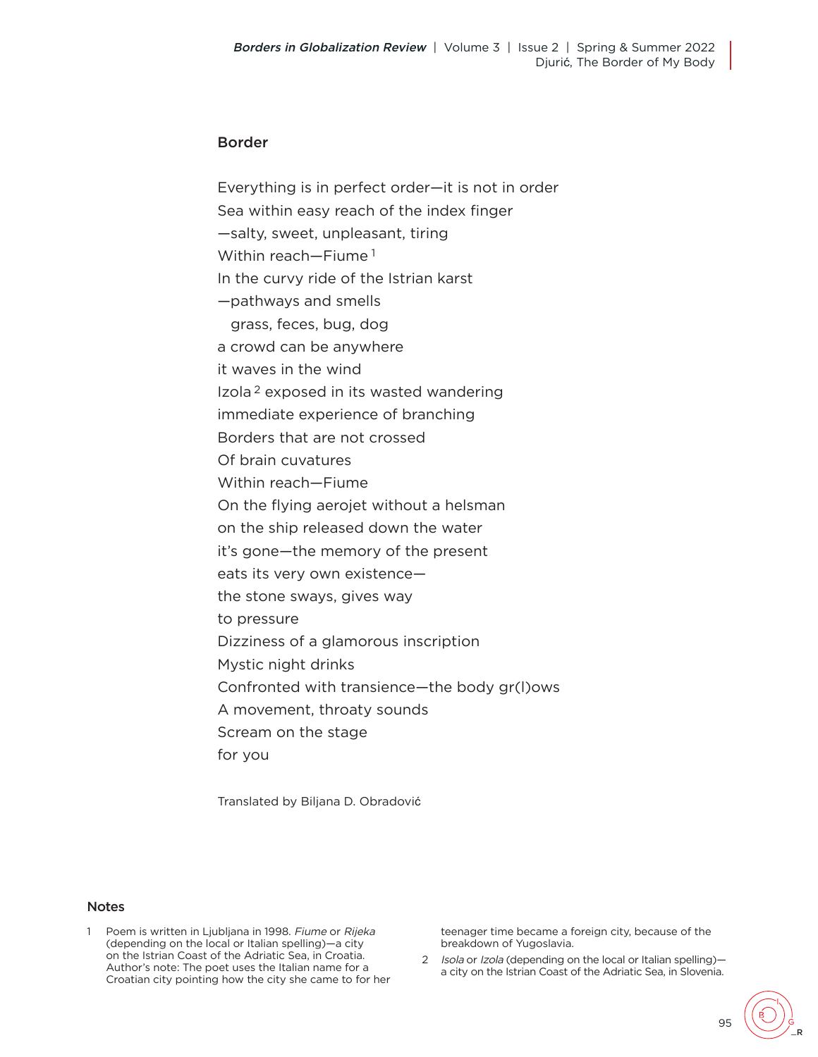#### Border

Everything is in perfect order—it is not in order Sea within easy reach of the index finger —salty, sweet, unpleasant, tiring Within reach—Fiume 1 In the curvy ride of the Istrian karst —pathways and smells grass, feces, bug, dog a crowd can be anywhere it waves in the wind Izola 2 exposed in its wasted wandering immediate experience of branching Borders that are not crossed Of brain cuvatures Within reach—Fiume On the flying aerojet without a helsman on the ship released down the water it's gone—the memory of the present eats its very own existence the stone sways, gives way to pressure Dizziness of a glamorous inscription Mystic night drinks Confronted with transience—the body gr(l)ows A movement, throaty sounds Scream on the stage for you

Translated by Biljana D. Obradović

#### **Notes**

1 Poem is written in Ljubljana in 1998. Fiume or Rijeka (depending on the local or Italian spelling)—a city on the Istrian Coast of the Adriatic Sea, in Croatia. Author's note: The poet uses the Italian name for a Croatian city pointing how the city she came to for her

teenager time became a foreign city, because of the breakdown of Yugoslavia.

2 Isola or Izola (depending on the local or Italian spelling)a city on the Istrian Coast of the Adriatic Sea, in Slovenia.

95

\_R